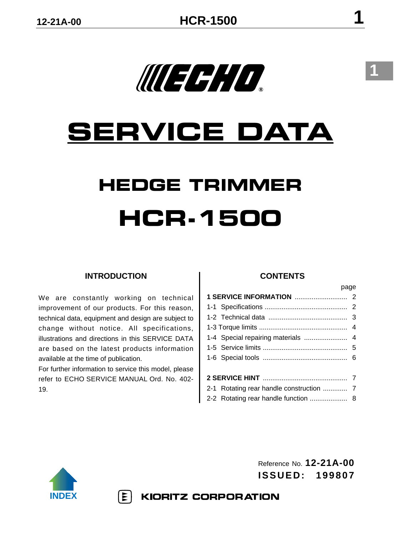# **SERVICE DATA**

WEEH O

# **HEDGE TRIMMER HCR-1500**

# **INTRODUCTION**

We are constantly working on technical improvement of our products. For this reason, technical data, equipment and design are subject to change without notice. All specifications, illustrations and directions in this SERVICE DATA are based on the latest products information available at the time of publication.

For further information to service this model, please refer to ECHO SERVICE MANUAL Ord. No. 402- 19.

 $|\mathbf{\Sigma}|$ 

#### **CONTENTS**

|  |                                          | page |  |  |  |  |
|--|------------------------------------------|------|--|--|--|--|
|  |                                          |      |  |  |  |  |
|  |                                          |      |  |  |  |  |
|  |                                          |      |  |  |  |  |
|  |                                          |      |  |  |  |  |
|  | 1-4 Special repairing materials  4       |      |  |  |  |  |
|  |                                          |      |  |  |  |  |
|  |                                          |      |  |  |  |  |
|  |                                          |      |  |  |  |  |
|  |                                          |      |  |  |  |  |
|  | 2-1 Rotating rear handle construction  7 |      |  |  |  |  |
|  |                                          |      |  |  |  |  |



Reference No. **12-21A-00 ISSUED: 199807**

**KIORITZ CORPORATION**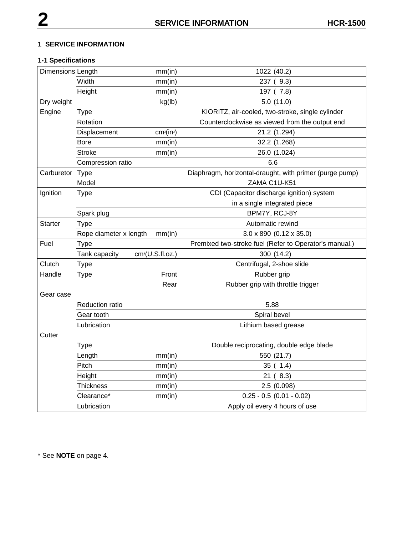#### **1 SERVICE INFORMATION**

# **1-1 Specifications**

| Dimensions Length<br>mm(in) |                        |                                    | 1022 (40.2)                                             |
|-----------------------------|------------------------|------------------------------------|---------------------------------------------------------|
| Width                       |                        | mm(in)                             | 237 (9.3)                                               |
|                             | Height                 | mm(in)                             | 197 (7.8)                                               |
| Dry weight<br>kg(lb)        |                        |                                    | 5.0(11.0)                                               |
| Engine<br><b>Type</b>       |                        |                                    | KIORITZ, air-cooled, two-stroke, single cylinder        |
|                             | Rotation               |                                    | Counterclockwise as viewed from the output end          |
|                             | Displacement           | cm <sup>3</sup> (in <sup>3</sup> ) | 21.2 (1.294)                                            |
|                             | <b>Bore</b>            | mm(in)                             | 32.2 (1.268)                                            |
|                             | <b>Stroke</b>          | mm(in)                             | 26.0 (1.024)                                            |
|                             | Compression ratio      |                                    | 6.6                                                     |
| Carburetor                  | Type                   |                                    | Diaphragm, horizontal-draught, with primer (purge pump) |
|                             | Model                  |                                    | ZAMA C1U-K51                                            |
| Ignition                    | <b>Type</b>            |                                    | CDI (Capacitor discharge ignition) system               |
|                             |                        |                                    | in a single integrated piece                            |
|                             | Spark plug             |                                    | BPM7Y, RCJ-8Y                                           |
| <b>Starter</b>              | Type                   |                                    | Automatic rewind                                        |
|                             | Rope diameter x length | mm(in)                             | $3.0 \times 890$ (0.12 $\times 35.0$ )                  |
| Fuel                        | <b>Type</b>            |                                    | Premixed two-stroke fuel (Refer to Operator's manual.)  |
|                             | Tank capacity          | cm <sup>3</sup> (U.S.fl.oz.)       | 300 (14.2)                                              |
| Clutch                      | <b>Type</b>            |                                    | Centrifugal, 2-shoe slide                               |
| Handle                      | <b>Type</b>            | Front                              | Rubber grip                                             |
|                             |                        | Rear                               | Rubber grip with throttle trigger                       |
| Gear case                   |                        |                                    |                                                         |
|                             | <b>Reduction ratio</b> |                                    | 5.88                                                    |
|                             | Gear tooth             |                                    | Spiral bevel                                            |
|                             | Lubrication            |                                    | Lithium based grease                                    |
| Cutter                      |                        |                                    |                                                         |
|                             | <b>Type</b>            |                                    | Double reciprocating, double edge blade                 |
|                             | Length                 | mm(in)                             | 550 (21.7)                                              |
|                             | Pitch                  | mm(in)                             | 35(1.4)                                                 |
|                             | Height                 | mm(in)                             | 21 (8.3)                                                |
|                             | Thickness              | mm(in)                             | 2.5 (0.098)                                             |
|                             | Clearance*             | mm(in)                             | $0.25 - 0.5$ (0.01 - 0.02)                              |
|                             | Lubrication            |                                    | Apply oil every 4 hours of use                          |

\* See **NOTE** on page 4.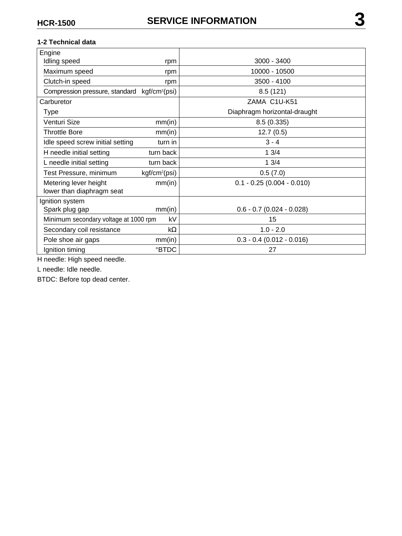#### **1-2 Technical data**

| Engine                                                   |                           |                              |
|----------------------------------------------------------|---------------------------|------------------------------|
| Idling speed<br>rpm                                      |                           | $3000 - 3400$                |
| Maximum speed                                            | rpm                       | 10000 - 10500                |
| Clutch-in speed                                          | rpm                       | 3500 - 4100                  |
| Compression pressure, standard kgf/cm <sup>2</sup> (psi) |                           | 8.5(121)                     |
| Carburetor                                               |                           | ZAMA C1U-K51                 |
| Type                                                     |                           | Diaphragm horizontal-draught |
| Venturi Size                                             | mm(in)                    | 8.5(0.335)                   |
| <b>Throttle Bore</b>                                     | mm(in)                    | 12.7(0.5)                    |
| Idle speed screw initial setting                         | turn in                   | $3 - 4$                      |
| H needle initial setting                                 | turn back                 | 13/4                         |
| L needle initial setting                                 | turn back                 | 13/4                         |
| Test Pressure, minimum                                   | kgf/cm <sup>2</sup> (psi) | 0.5(7.0)                     |
| Metering lever height                                    | mm(in)                    | $0.1 - 0.25 (0.004 - 0.010)$ |
| lower than diaphragm seat                                |                           |                              |
| Ignition system                                          |                           |                              |
| mm(in)<br>Spark plug gap                                 |                           | $0.6 - 0.7$ (0.024 - 0.028)  |
| Minimum secondary voltage at 1000 rpm                    | kV                        | 15                           |
| Secondary coil resistance<br>$k\Omega$                   |                           | $1.0 - 2.0$                  |
| Pole shoe air gaps                                       | mm(in)                    | $0.3 - 0.4$ (0.012 - 0.016)  |
| <b>°BTDC</b><br>Ignition timing                          |                           | 27                           |

H needle: High speed needle.

L needle: Idle needle.

BTDC: Before top dead center.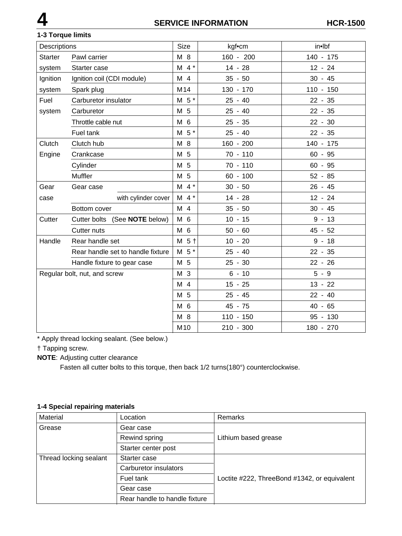## **1-3 Torque limits**

| Descriptions                 |                                   | <b>Size</b>              | kgf•cm      | in•lbf      |
|------------------------------|-----------------------------------|--------------------------|-------------|-------------|
| <b>Starter</b>               | Pawl carrier                      | M 8                      | 160 - 200   | 140 - 175   |
| system                       | Starter case                      | $M$ 4 $*$                | $14 - 28$   | $12 - 24$   |
| Ignition                     | Ignition coil (CDI module)        | M 4                      | $35 - 50$   | $30 - 45$   |
| system                       | Spark plug                        | M14                      | 130 - 170   | $110 - 150$ |
| Fuel                         | Carburetor insulator              | $M5$ *                   | $25 - 40$   | $22 - 35$   |
| system                       | Carburetor                        | M 5                      | $25 - 40$   | $22 - 35$   |
|                              | Throttle cable nut                | M 6                      | $25 - 35$   | $22 - 30$   |
|                              | Fuel tank                         | $M5$ *                   | $25 - 40$   | $22 - 35$   |
| Clutch                       | Clutch hub                        | M 8                      | $160 - 200$ | 140 - 175   |
| Engine                       | Crankcase                         | M 5                      | $70 - 110$  | $60 - 95$   |
|                              | Cylinder                          | M 5                      | $70 - 110$  | $60 - 95$   |
|                              | Muffler                           | M 5                      | $60 - 100$  | $52 - 85$   |
| Gear                         | Gear case                         | $M$ 4 $*$                | $30 - 50$   | $26 - 45$   |
| case                         | with cylinder cover               | $M \cdot 4$ <sup>*</sup> | $14 - 28$   | $12 - 24$   |
|                              | Bottom cover                      | M 4                      | $35 - 50$   | $30 - 45$   |
| Cutter                       | Cutter bolts (See NOTE below)     | M 6                      | $10 - 15$   | $9 - 13$    |
|                              | Cutter nuts                       | M 6                      | $50 - 60$   | $45 - 52$   |
| Handle                       | Rear handle set                   | $M5$ +                   | $10 - 20$   | $9 - 18$    |
|                              | Rear handle set to handle fixture | $M5$ *                   | $25 - 40$   | $22 - 35$   |
|                              | Handle fixture to gear case       | M 5                      | $25 - 30$   | $22 - 26$   |
| Regular bolt, nut, and screw |                                   | M 3                      | $6 - 10$    | $5 - 9$     |
|                              |                                   | M 4                      | $15 - 25$   | $13 - 22$   |
|                              |                                   | M 5                      | $25 - 45$   | $22 - 40$   |
|                              |                                   | M 6                      | 45 - 75     | $40 - 65$   |
|                              |                                   | M 8                      | $110 - 150$ | 95 - 130    |
|                              |                                   | M10                      | $210 - 300$ | 180 - 270   |

\* Apply thread locking sealant. (See below.)

† Tapping screw.

**NOTE**: Adjusting cutter clearance

Fasten all cutter bolts to this torque, then back 1/2 turns(180°) counterclockwise.

# **1-4 Special repairing materials**

| Material               | Location                      | Remarks                                      |
|------------------------|-------------------------------|----------------------------------------------|
| Grease                 | Gear case                     |                                              |
|                        | Rewind spring                 | Lithium based grease                         |
|                        | Starter center post           |                                              |
| Thread locking sealant | Starter case                  |                                              |
|                        | Carburetor insulators         |                                              |
|                        | Fuel tank                     | Loctite #222, ThreeBond #1342, or equivalent |
|                        | Gear case                     |                                              |
|                        | Rear handle to handle fixture |                                              |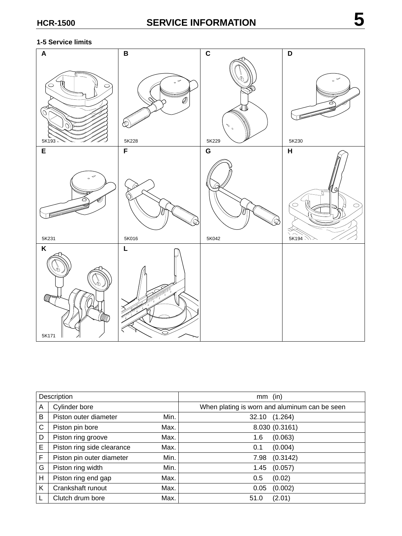#### **1-5 Service limits**



| Description |                            |      | (in)<br>mm                                    |
|-------------|----------------------------|------|-----------------------------------------------|
| A           | Cylinder bore              |      | When plating is worn and aluminum can be seen |
| В           | Piston outer diameter      | Min. | 32.10 (1.264)                                 |
| C           | Piston pin bore            | Max. | 8.030 (0.3161)                                |
| D           | Piston ring groove         | Max. | (0.063)<br>1.6                                |
| E           | Piston ring side clearance | Max. | (0.004)<br>0.1                                |
| F           | Piston pin outer diameter  | Min. | (0.3142)<br>7.98                              |
| G           | Piston ring width          | Min. | (0.057)<br>1.45                               |
| н           | Piston ring end gap        | Max. | (0.02)<br>0.5                                 |
| K           | Crankshaft runout          | Max. | (0.002)<br>0.05                               |
|             | Clutch drum bore           | Max. | (2.01)<br>51.0                                |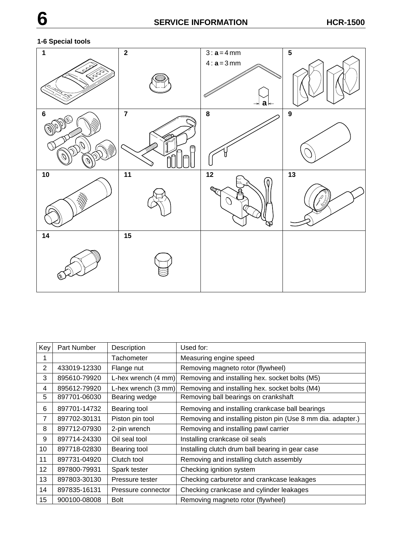# **1-6 Special tools**



| Key             | Part Number  | Description                   | Used for:                                                   |
|-----------------|--------------|-------------------------------|-------------------------------------------------------------|
|                 |              | Tachometer                    | Measuring engine speed                                      |
| 2               | 433019-12330 | Flange nut                    | Removing magneto rotor (flywheel)                           |
| 3               | 895610-79920 | L-hex wrench $(4 \text{ mm})$ | Removing and installing hex. socket bolts (M5)              |
| 4               | 895612-79920 | L-hex wrench $(3 \text{ mm})$ | Removing and installing hex. socket bolts (M4)              |
| 5               | 897701-06030 | Bearing wedge                 | Removing ball bearings on crankshaft                        |
| 6               | 897701-14732 | Bearing tool                  | Removing and installing crankcase ball bearings             |
| $\overline{7}$  | 897702-30131 | Piston pin tool               | Removing and installing piston pin (Use 8 mm dia. adapter.) |
| 8               | 897712-07930 | 2-pin wrench                  | Removing and installing pawl carrier                        |
| 9               | 897714-24330 | Oil seal tool                 | Installing crankcase oil seals                              |
| 10 <sup>1</sup> | 897718-02830 | Bearing tool                  | Installing clutch drum ball bearing in gear case            |
| 11              | 897731-04920 | Clutch tool                   | Removing and installing clutch assembly                     |
| 12 <sub>2</sub> | 897800-79931 | Spark tester                  | Checking ignition system                                    |
| 13              | 897803-30130 | Pressure tester               | Checking carburetor and crankcase leakages                  |
| 14              | 897835-16131 | Pressure connector            | Checking crankcase and cylinder leakages                    |
| 15              | 900100-08008 | <b>Bolt</b>                   | Removing magneto rotor (flywheel)                           |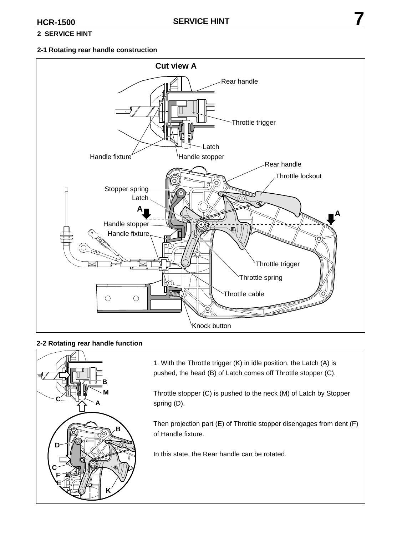## **2 SERVICE HINT**

#### **2-1 Rotating rear handle construction**



#### **2-2 Rotating rear handle function**



1. With the Throttle trigger (K) in idle position, the Latch (A) is pushed, the head (B) of Latch comes off Throttle stopper (C).

Throttle stopper (C) is pushed to the neck (M) of Latch by Stopper spring (D).

Then projection part (E) of Throttle stopper disengages from dent (F) of Handle fixture.

In this state, the Rear handle can be rotated.